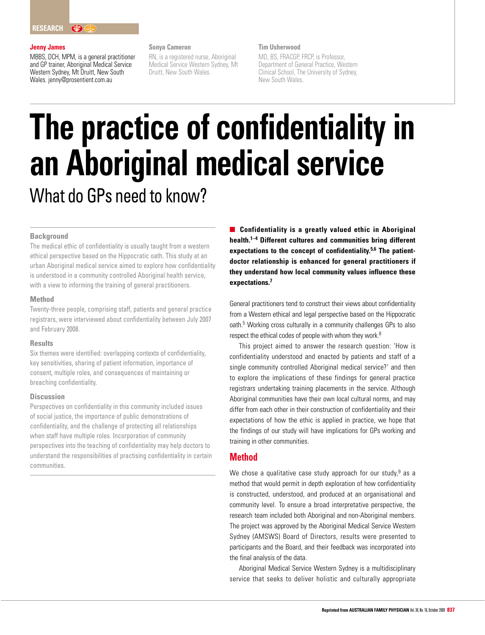## **Jenny James**

MBBS, DCH, MPM, is a general practitioner and GP trainer, Aboriginal Medical Service Western Sydney, Mt Druitt, New South Wales. jenny@prosentient.com.au

## **Sonya Cameron**

RN, is a registered nurse, Aboriginal Medical Service Western Sydney, Mt Druitt, New South Wales.

### **Tim Usherwood**

MD, BS, FRACGP, FRCP, is Professor, Department of General Practice, Western Clinical School, The University of Sydney, New South Wales.

# **The practice of confidentiality in an Aboriginal medical service** What do GPs need to know?

#### **Background**

The medical ethic of confidentiality is usually taught from a western ethical perspective based on the Hippocratic oath. This study at an urban Aboriginal medical service aimed to explore how confidentiality is understood in a community controlled Aboriginal health service, with a view to informing the training of general practitioners.

#### **Method**

Twenty-three people, comprising staff, patients and general practice registrars, were interviewed about confidentiality between July 2007 and February 2008.

#### **Results**

Six themes were identified: overlapping contexts of confidentiality, key sensitivities, sharing of patient information, importance of consent, multiple roles, and consequences of maintaining or breaching confidentiality.

# **Discussion**

Perspectives on confidentiality in this community included issues of social justice, the importance of public demonstrations of confidentiality, and the challenge of protecting all relationships when staff have multiple roles. Incorporation of community perspectives into the teaching of confidentiality may help doctors to understand the responsibilities of practising confidentiality in certain communities.

**Confidentiality is a greatly valued ethic in Aboriginal health.1–4 Different cultures and communities bring different expectations to the concept of confidentiality.5,6 The patientdoctor relationship is enhanced for general practitioners if they understand how local community values influence these expectations.7**

General practitioners tend to construct their views about confidentiality from a Western ethical and legal perspective based on the Hippocratic oath.<sup>5</sup> Working cross culturally in a community challenges GPs to also respect the ethical codes of people with whom they work.<sup>8</sup>

This project aimed to answer the research question: 'How is confidentiality understood and enacted by patients and staff of a single community controlled Aboriginal medical service?' and then to explore the implications of these findings for general practice registrars undertaking training placements in the service. Although Aboriginal communities have their own local cultural norms, and may differ from each other in their construction of confidentiality and their expectations of how the ethic is applied in practice, we hope that the findings of our study will have implications for GPs working and training in other communities.

# **Method**

We chose a qualitative case study approach for our study,  $9$  as a method that would permit in depth exploration of how confidentiality is constructed, understood, and produced at an organisational and community level. To ensure a broad interpretative perspective, the research team included both Aboriginal and non-Aboriginal members. The project was approved by the Aboriginal Medical Service Western Sydney (AMSWS) Board of Directors, results were presented to participants and the Board, and their feedback was incorporated into the final analysis of the data.

Aboriginal Medical Service Western Sydney is a multidisciplinary service that seeks to deliver holistic and culturally appropriate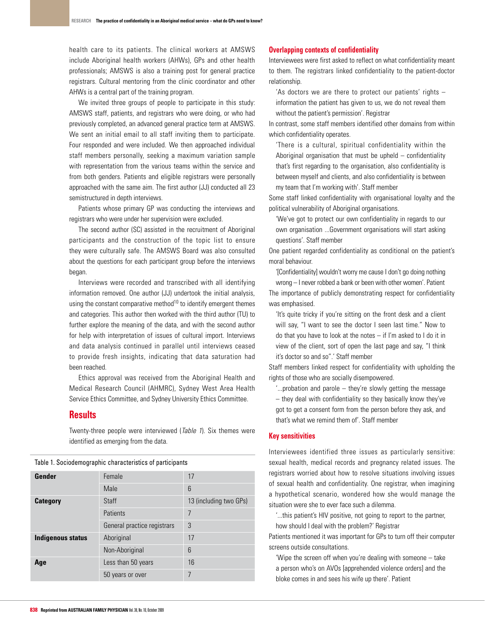health care to its patients. The clinical workers at AMSWS include Aboriginal health workers (AHWs), GPs and other health professionals; AMSWS is also a training post for general practice registrars. Cultural mentoring from the clinic coordinator and other AHWs is a central part of the training program.

We invited three groups of people to participate in this study: AMSWS staff, patients, and registrars who were doing, or who had previously completed, an advanced general practice term at AMSWS. We sent an initial email to all staff inviting them to participate. Four responded and were included. We then approached individual staff members personally, seeking a maximum variation sample with representation from the various teams within the service and from both genders. Patients and eligible registrars were personally approached with the same aim. The first author (JJ) conducted all 23 semistructured in depth interviews.

Patients whose primary GP was conducting the interviews and registrars who were under her supervision were excluded.

The second author (SC) assisted in the recruitment of Aboriginal participants and the construction of the topic list to ensure they were culturally safe. The AMSWS Board was also consulted about the questions for each participant group before the interviews began.

Interviews were recorded and transcribed with all identifying information removed. One author (JJ) undertook the initial analysis, using the constant comparative method<sup>10</sup> to identify emergent themes and categories. This author then worked with the third author (TU) to further explore the meaning of the data, and with the second author for help with interpretation of issues of cultural import. Interviews and data analysis continued in parallel until interviews ceased to provide fresh insights, indicating that data saturation had been reached.

Ethics approval was received from the Aboriginal Health and Medical Research Council (AHMRC), Sydney West Area Health Service Ethics Committee, and Sydney University Ethics Committee.

# **Results**

Twenty-three people were interviewed (Table 1). Six themes were identified as emerging from the data.

|  |  |  | Table 1. Sociodemographic characteristics of participants |
|--|--|--|-----------------------------------------------------------|
|  |  |  |                                                           |

| Gender            | Female                      | 17                     |  |  |
|-------------------|-----------------------------|------------------------|--|--|
|                   | Male                        | 6                      |  |  |
| <b>Category</b>   | <b>Staff</b>                | 13 (including two GPs) |  |  |
|                   | Patients                    | 7                      |  |  |
|                   | General practice registrars | 3                      |  |  |
| Indigenous status | Aboriginal                  | 17                     |  |  |
|                   | Non-Aboriginal              | 6                      |  |  |
| Age               | Less than 50 years          | 16                     |  |  |
|                   | 50 years or over            | 7                      |  |  |
|                   |                             |                        |  |  |

## **Overlapping contexts of confidentiality**

Interviewees were first asked to reflect on what confidentiality meant to them. The registrars linked confidentiality to the patient-doctor relationship.

'As doctors we are there to protect our patients' rights – information the patient has given to us, we do not reveal them without the patient's permission'. Registrar

In contrast, some staff members identified other domains from within which confidentiality operates.

'There is a cultural, spiritual confidentiality within the Aboriginal organisation that must be upheld  $-$  confidentiality that's first regarding to the organisation, also confidentiality is between myself and clients, and also confidentiality is between my team that I'm working with'. Staff member

Some staff linked confidentiality with organisational loyalty and the political vulnerability of Aboriginal organisations.

'We've got to protect our own confidentiality in regards to our own organisation ...Government organisations will start asking questions'. Staff member

One patient regarded confidentiality as conditional on the patient's moral behaviour.

'[Confidentiality] wouldn't worry me cause I don't go doing nothing wrong – I never robbed a bank or been with other women'. Patient The importance of publicly demonstrating respect for confidentiality was emphasised.

'It's quite tricky if you're sitting on the front desk and a client will say, "I want to see the doctor I seen last time." Now to do that you have to look at the notes – if I'm asked to I do it in view of the client, sort of open the last page and say, "I think it's doctor so and so".' Staff member

Staff members linked respect for confidentiality with upholding the rights of those who are socially disempowered.

'...probation and parole – they're slowly getting the message

– they deal with confidentiality so they basically know they've got to get a consent form from the person before they ask, and that's what we remind them of'. Staff member

## **Key sensitivities**

Interviewees identified three issues as particularly sensitive: sexual health, medical records and pregnancy related issues. The registrars worried about how to resolve situations involving issues of sexual health and confidentiality. One registrar, when imagining a hypothetical scenario, wondered how she would manage the situation were she to ever face such a dilemma.

'...this patient's HIV positive, not going to report to the partner, how should I deal with the problem?' Registrar

Patients mentioned it was important for GPs to turn off their computer screens outside consultations.

'Wipe the screen off when you're dealing with someone – take a person who's on AVOs [apprehended violence orders] and the bloke comes in and sees his wife up there'. Patient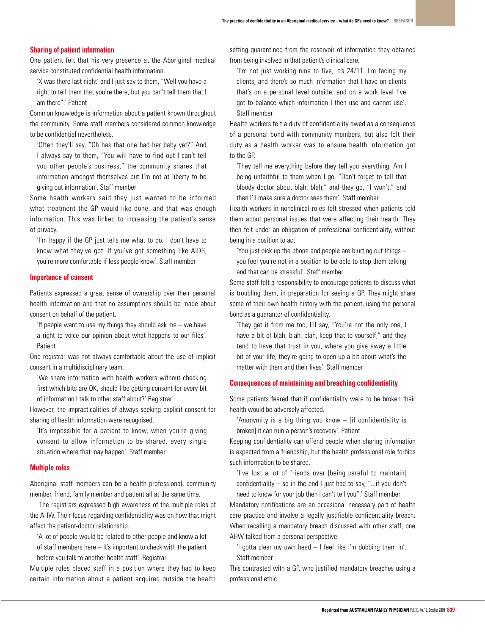#### **Sharing of patient information**

One patient felt that his very presence at the Aboriginal medical service constituted confidential health information.

'X was there last night' and I just say to them, "Well you have a right to tell them that you're there, but you can't tell them that I am there".' Patient

Common knowledge is information about a patient known throughout the community. Some staff members considered common knowledge to be confidential nevertheless.

'Often they'll say, "Oh has that one had her baby yet?" And I always say to them, "You will have to find out I can't tell you other people's business," the community shares that information amongst themselves but I'm not at liberty to be giving out information'. Staff member

Some health workers said they just wanted to be informed what treatment the GP would like done, and that was enough information. This was linked to increasing the patient's sense of privacy.

'I'm happy if the GP just tells me what to do, I don't have to know what they've got. If you've got something like AIDS, you're more comfortable if less people know'. Staff member

#### **Importance of consent**

Patients expressed a great sense of ownership over their personal health information and that no assumptions should be made about consent on behalf of the patient.

'If people want to use my things they should ask me  $-$  we have

a right to voice our opinion about what happens to our files'. Patient

One registrar was not always comfortable about the use of implicit consent in a multidisciplinary team.

'We share information with health workers without checking first which bits are OK, should I be getting consent for every bit of information I talk to other staff about?' Registrar

However, the impracticalities of always seeking explicit consent for sharing of health information were recognised.

'It's impossible for a patient to know, when you're giving consent to allow information to be shared, every single situation where that may happen'. Staff member

### **Multiple roles**

Aboriginal staff members can be a health professional, community member, friend, family member and patient all at the same time.

The registrars expressed high awareness of the multiple roles of the AHW. Their focus regarding confidentiality was on how that might affect the patient-doctor relationship.

'A lot of people would be related to other people and know a lot of staff members here – it's important to check with the patient before you talk to another health staff'. Registrar

Multiple roles placed staff in a position where they had to keep certain information about a patient acquired outside the health setting quarantined from the reservoir of information they obtained from being involved in that patient's clinical care.

'I'm not just working nine to five, it's 24/11. I'm facing my clients, and there's so much information that I have on clients that's on a personal level outside, and on a work level I've got to balance which information I then use and cannot use'. Staff member

Health workers felt a duty of confidentiality owed as a consequence of a personal bond with community members, but also felt their duty as a health worker was to ensure health information got to the GP.

'They tell me everything before they tell you everything. Am I being unfaithful to them when I go, "Don't forget to tell that bloody doctor about blah, blah," and they go, "I won't," and then I'll make sure a doctor sees them'. Staff member

Health workers in nonclinical roles felt stressed when patients told them about personal issues that were affecting their health. They then felt under an obligation of professional confidentiality, without being in a position to act.

'You just pick up the phone and people are blurting out things – you feel you're not in a position to be able to stop them talking and that can be stressful'. Staff member

Some staff felt a responsibility to encourage patients to discuss what is troubling them, in preparation for seeing a GP. They might share some of their own health history with the patient, using the personal bond as a guarantor of confidentiality.

'They get it from me too, I'll say, "You're not the only one, I have a bit of blah, blah, blah, keep that to yourself," and they tend to have that trust in you, where you give away a little bit of your life, they're going to open up a bit about what's the matter with them and their lives'. Staff member

#### **Consequences of maintaining and breaching confidentiality**

Some patients feared that if confidentiality were to be broken their health would be adversely affected.

'Anonymity is a big thing you know – [if confidentiality is broken] it can ruin a person's recovery'. Patient

Keeping confidentiality can offend people when sharing information is expected from a friendship, but the health professional role forbids such information to be shared.

'I've lost a lot of friends over [being careful to maintain] confidentiality – so in the end I just had to say, "...if you don't need to know for your job then I can't tell you".' Staff member

Mandatory notifications are an occasional necessary part of health care practice and involve a legally justifiable confidentiality breach. When recalling a mandatory breach discussed with other staff, one AHW talked from a personal perspective.

'I gotta clear my own head – I feel like I'm dobbing them in'. Staff member

This contrasted with a GP, who justified mandatory breaches using a professional ethic.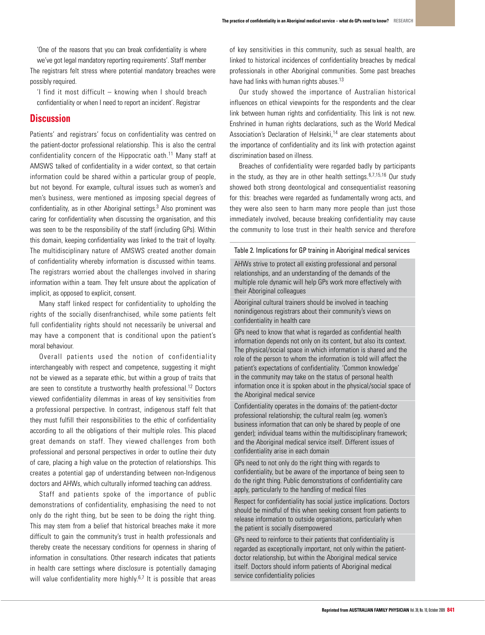'One of the reasons that you can break confidentiality is where we've got legal mandatory reporting requirements'. Staff member

The registrars felt stress where potential mandatory breaches were possibly required.

'I find it most difficult – knowing when I should breach confidentiality or when I need to report an incident'. Registrar

# **Discussion**

Patients' and registrars' focus on confidentiality was centred on the patient-doctor professional relationship. This is also the central confidentiality concern of the Hippocratic oath.11 Many staff at AMSWS talked of confidentiality in a wider context, so that certain information could be shared within a particular group of people, but not beyond. For example, cultural issues such as women's and men's business, were mentioned as imposing special degrees of confidentiality, as in other Aboriginal settings.<sup>3</sup> Also prominent was caring for confidentiality when discussing the organisation, and this was seen to be the responsibility of the staff (including GPs). Within this domain, keeping confidentiality was linked to the trait of loyalty. The multidisciplinary nature of AMSWS created another domain of confidentiality whereby information is discussed within teams. The registrars worried about the challenges involved in sharing information within a team. They felt unsure about the application of implicit, as opposed to explicit, consent.

Many staff linked respect for confidentiality to upholding the rights of the socially disenfranchised, while some patients felt full confidentiality rights should not necessarily be universal and may have a component that is conditional upon the patient's moral behaviour.

Overall patients used the notion of confidentiality interchangeably with respect and competence, suggesting it might not be viewed as a separate ethic, but within a group of traits that are seen to constitute a trustworthy health professional.<sup>12</sup> Doctors viewed confidentiality dilemmas in areas of key sensitivities from a professional perspective. In contrast, indigenous staff felt that they must fulfill their responsibilities to the ethic of confidentiality according to all the obligations of their multiple roles. This placed great demands on staff. They viewed challenges from both professional and personal perspectives in order to outline their duty of care, placing a high value on the protection of relationships. This creates a potential gap of understanding between non-Indigenous doctors and AHWs, which culturally informed teaching can address.

Staff and patients spoke of the importance of public demonstrations of confidentiality, emphasising the need to not only do the right thing, but be seen to be doing the right thing. This may stem from a belief that historical breaches make it more difficult to gain the community's trust in health professionals and thereby create the necessary conditions for openness in sharing of information in consultations. Other research indicates that patients in health care settings where disclosure is potentially damaging will value confidentiality more highly. $6,7$  It is possible that areas of key sensitivities in this community, such as sexual health, are linked to historical incidences of confidentiality breaches by medical professionals in other Aboriginal communities. Some past breaches have had links with human rights abuses.<sup>13</sup>

Our study showed the importance of Australian historical influences on ethical viewpoints for the respondents and the clear link between human rights and confidentiality. This link is not new. Enshrined in human rights declarations, such as the World Medical Association's Declaration of Helsinki,<sup>14</sup> are clear statements about the importance of confidentiality and its link with protection against discrimination based on illness.

Breaches of confidentiality were regarded badly by participants in the study, as they are in other health settings.  $6,7,15,16$  Our study showed both strong deontological and consequentialist reasoning for this: breaches were regarded as fundamentally wrong acts, and they were also seen to harm many more people than just those immediately involved, because breaking confidentiality may cause the community to lose trust in their health service and therefore

#### Table 2. Implications for GP training in Aboriginal medical services

AHWs strive to protect all existing professional and personal relationships, and an understanding of the demands of the multiple role dynamic will help GPs work more effectively with their Aboriginal colleagues

Aboriginal cultural trainers should be involved in teaching nonindigenous registrars about their community's views on confidentiality in health care

GPs need to know that what is regarded as confidential health information depends not only on its content, but also its context. The physical/social space in which information is shared and the role of the person to whom the information is told will affect the patient's expectations of confidentiality. 'Common knowledge' in the community may take on the status of personal health information once it is spoken about in the physical/social space of the Aboriginal medical service

Confidentiality operates in the domains of: the patient-doctor professional relationship; the cultural realm (eg. women's business information that can only be shared by people of one gender); individual teams within the multidisciplinary framework; and the Aboriginal medical service itself. Different issues of confidentiality arise in each domain

GPs need to not only do the right thing with regards to confidentiality, but be aware of the importance of being seen to do the right thing. Public demonstrations of confidentiality care apply, particularly to the handling of medical files

Respect for confidentiality has social justice implications. Doctors should be mindful of this when seeking consent from patients to release information to outside organisations, particularly when the patient is socially disempowered

GPs need to reinforce to their patients that confidentiality is regarded as exceptionally important, not only within the patientdoctor relationship, but within the Aboriginal medical service itself. Doctors should inform patients of Aboriginal medical service confidentiality policies